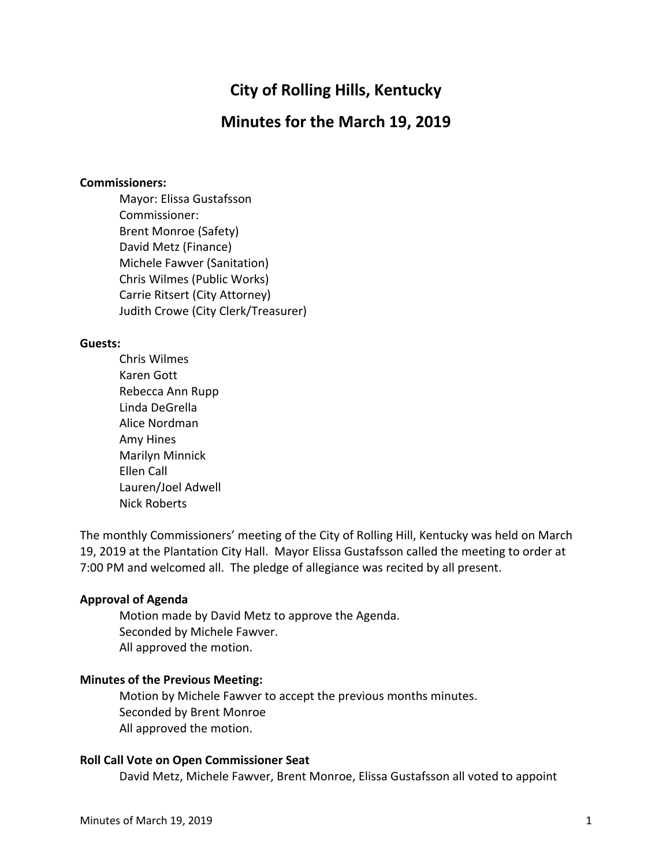# **City of Rolling Hills, Kentucky**

## **Minutes for the March 19, 2019**

#### **Commissioners:**

Mayor: Elissa Gustafsson Commissioner: Brent Monroe (Safety) David Metz (Finance) Michele Fawver (Sanitation) Chris Wilmes (Public Works) Carrie Ritsert (City Attorney) Judith Crowe (City Clerk/Treasurer)

### **Guests:**

Chris Wilmes Karen Gott Rebecca Ann Rupp Linda DeGrella Alice Nordman Amy Hines Marilyn Minnick Ellen Call Lauren/Joel Adwell Nick Roberts

The monthly Commissioners' meeting of the City of Rolling Hill, Kentucky was held on March 19, 2019 at the Plantation City Hall. Mayor Elissa Gustafsson called the meeting to order at 7:00 PM and welcomed all. The pledge of allegiance was recited by all present.

#### **Approval of Agenda**

Motion made by David Metz to approve the Agenda. Seconded by Michele Fawver. All approved the motion.

## **Minutes of the Previous Meeting:**

Motion by Michele Fawver to accept the previous months minutes. Seconded by Brent Monroe All approved the motion.

#### **Roll Call Vote on Open Commissioner Seat**

David Metz, Michele Fawver, Brent Monroe, Elissa Gustafsson all voted to appoint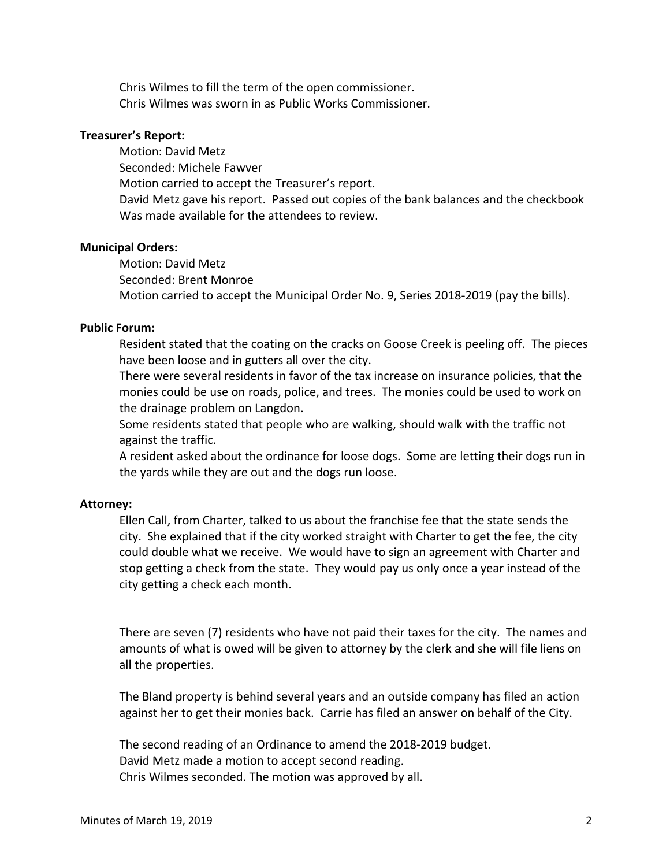Chris Wilmes to fill the term of the open commissioner. Chris Wilmes was sworn in as Public Works Commissioner.

## **Treasurer's Report:**

Motion: David Metz Seconded: Michele Fawver Motion carried to accept the Treasurer's report. David Metz gave his report. Passed out copies of the bank balances and the checkbook Was made available for the attendees to review.

## **Municipal Orders:**

Motion: David Metz Seconded: Brent Monroe Motion carried to accept the Municipal Order No. 9, Series 2018-2019 (pay the bills).

## **Public Forum:**

Resident stated that the coating on the cracks on Goose Creek is peeling off. The pieces have been loose and in gutters all over the city.

There were several residents in favor of the tax increase on insurance policies, that the monies could be use on roads, police, and trees. The monies could be used to work on the drainage problem on Langdon.

Some residents stated that people who are walking, should walk with the traffic not against the traffic.

A resident asked about the ordinance for loose dogs. Some are letting their dogs run in the yards while they are out and the dogs run loose.

#### **Attorney:**

Ellen Call, from Charter, talked to us about the franchise fee that the state sends the city. She explained that if the city worked straight with Charter to get the fee, the city could double what we receive. We would have to sign an agreement with Charter and stop getting a check from the state. They would pay us only once a year instead of the city getting a check each month.

There are seven (7) residents who have not paid their taxes for the city. The names and amounts of what is owed will be given to attorney by the clerk and she will file liens on all the properties.

The Bland property is behind several years and an outside company has filed an action against her to get their monies back. Carrie has filed an answer on behalf of the City.

The second reading of an Ordinance to amend the 2018-2019 budget. David Metz made a motion to accept second reading. Chris Wilmes seconded. The motion was approved by all.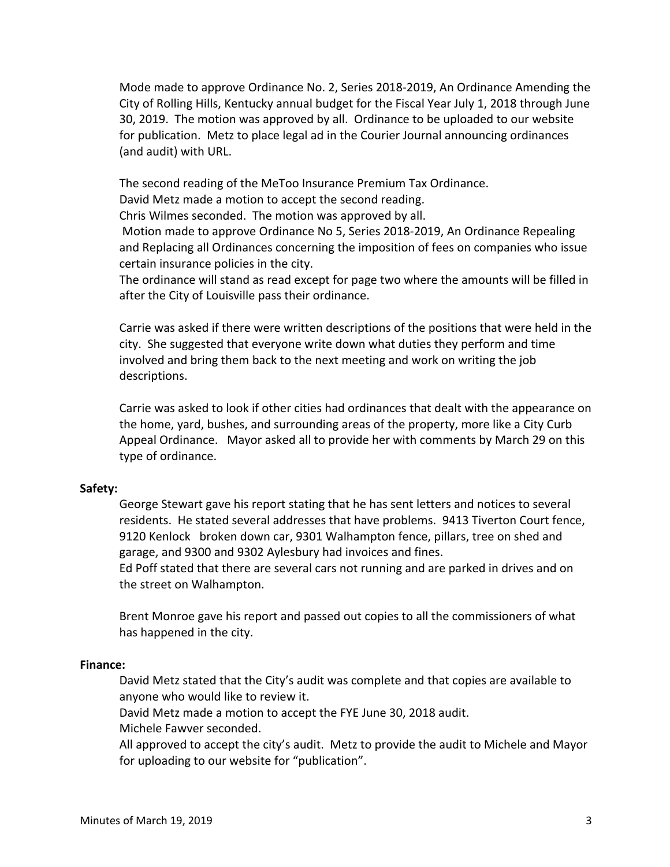Mode made to approve Ordinance No. 2, Series 2018-2019, An Ordinance Amending the City of Rolling Hills, Kentucky annual budget for the Fiscal Year July 1, 2018 through June 30, 2019. The motion was approved by all. Ordinance to be uploaded to our website for publication. Metz to place legal ad in the Courier Journal announcing ordinances (and audit) with URL.

The second reading of the MeToo Insurance Premium Tax Ordinance.

David Metz made a motion to accept the second reading.

Chris Wilmes seconded. The motion was approved by all.

Motion made to approve Ordinance No 5, Series 2018-2019, An Ordinance Repealing and Replacing all Ordinances concerning the imposition of fees on companies who issue certain insurance policies in the city.

The ordinance will stand as read except for page two where the amounts will be filled in after the City of Louisville pass their ordinance.

Carrie was asked if there were written descriptions of the positions that were held in the city. She suggested that everyone write down what duties they perform and time involved and bring them back to the next meeting and work on writing the job descriptions.

Carrie was asked to look if other cities had ordinances that dealt with the appearance on the home, yard, bushes, and surrounding areas of the property, more like a City Curb Appeal Ordinance. Mayor asked all to provide her with comments by March 29 on this type of ordinance.

#### **Safety:**

George Stewart gave his report stating that he has sent letters and notices to several residents. He stated several addresses that have problems. 9413 Tiverton Court fence, 9120 Kenlock broken down car, 9301 Walhampton fence, pillars, tree on shed and garage, and 9300 and 9302 Aylesbury had invoices and fines.

Ed Poff stated that there are several cars not running and are parked in drives and on the street on Walhampton.

Brent Monroe gave his report and passed out copies to all the commissioners of what has happened in the city.

#### **Finance:**

David Metz stated that the City's audit was complete and that copies are available to anyone who would like to review it.

David Metz made a motion to accept the FYE June 30, 2018 audit.

Michele Fawver seconded.

All approved to accept the city's audit. Metz to provide the audit to Michele and Mayor for uploading to our website for "publication".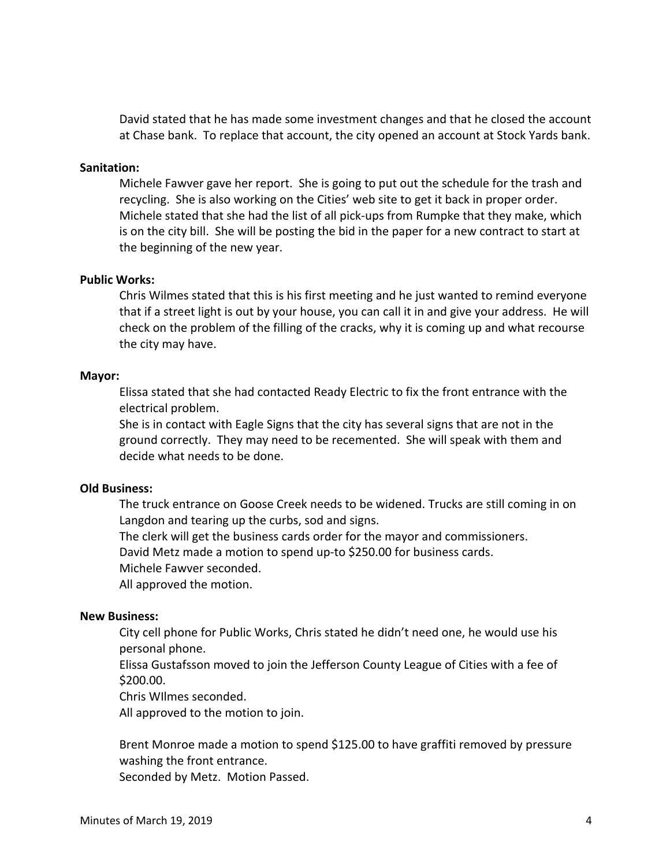David stated that he has made some investment changes and that he closed the account at Chase bank. To replace that account, the city opened an account at Stock Yards bank.

#### **Sanitation:**

Michele Fawver gave her report. She is going to put out the schedule for the trash and recycling. She is also working on the Cities' web site to get it back in proper order. Michele stated that she had the list of all pick-ups from Rumpke that they make, which is on the city bill. She will be posting the bid in the paper for a new contract to start at the beginning of the new year.

#### **Public Works:**

Chris Wilmes stated that this is his first meeting and he just wanted to remind everyone that if a street light is out by your house, you can call it in and give your address. He will check on the problem of the filling of the cracks, why it is coming up and what recourse the city may have.

#### **Mayor:**

Elissa stated that she had contacted Ready Electric to fix the front entrance with the electrical problem.

She is in contact with Eagle Signs that the city has several signs that are not in the ground correctly. They may need to be recemented. She will speak with them and decide what needs to be done.

#### **Old Business:**

The truck entrance on Goose Creek needs to be widened. Trucks are still coming in on Langdon and tearing up the curbs, sod and signs.

The clerk will get the business cards order for the mayor and commissioners.

David Metz made a motion to spend up-to \$250.00 for business cards.

Michele Fawver seconded.

All approved the motion.

#### **New Business:**

City cell phone for Public Works, Chris stated he didn't need one, he would use his personal phone.

Elissa Gustafsson moved to join the Jefferson County League of Cities with a fee of \$200.00.

Chris WIlmes seconded.

All approved to the motion to join.

Brent Monroe made a motion to spend \$125.00 to have graffiti removed by pressure washing the front entrance.

Seconded by Metz. Motion Passed.